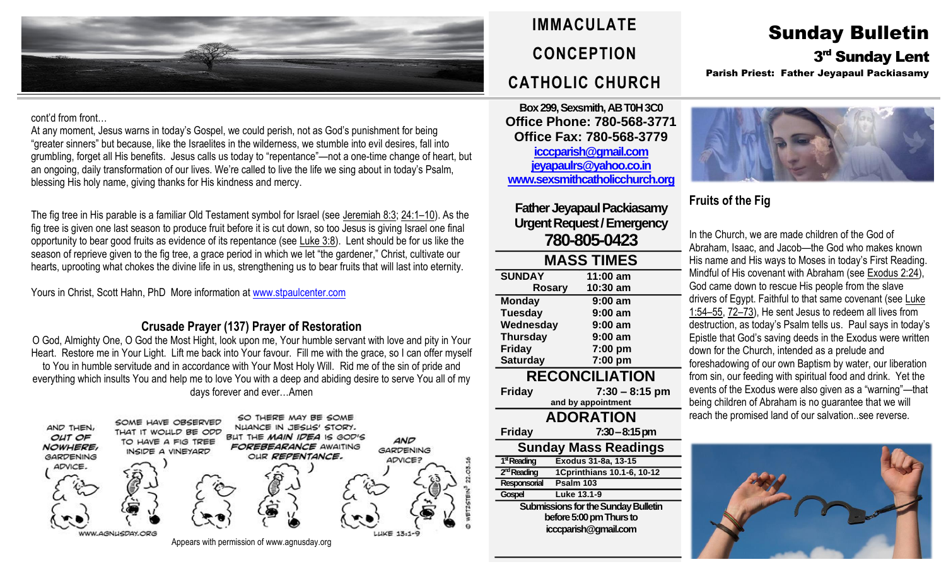

#### cont'd from front…

At any moment, Jesus warns in today's Gospel, we could perish, not as God's punishment for being "greater sinners" but because, like the Israelites in the wilderness, we stumble into evil desires, fall into grumbling, forget all His benefits. Jesus calls us today to "repentance"—not a one-time change of heart, but an ongoing, daily transformation of our lives. We're called to live the life we sing about in today's Psalm, blessing His holy name, giving thanks for His kindness and mercy.

The fig tree in His parable is a familiar Old Testament symbol for Israel (see [Jeremiah](https://biblia.com/bible/rsvce/Jer%208.3) 8:3; [24:1](https://biblia.com/bible/rsvce/Jeremiah%2024.1%E2%80%9310)–10). As the fig tree is given one last season to produce fruit before it is cut down, so too Jesus is giving Israel one final opportunity to bear good fruits as evidence of its repentance (see [Luke](https://biblia.com/bible/rsvce/Luke%203.8) 3:8). Lent should be for us like the season of reprieve given to the fig tree, a grace period in which we let "the gardener," Christ, cultivate our hearts, uprooting what chokes the divine life in us, strengthening us to bear fruits that will last into eternity.

Yours in Christ, Scott Hahn, PhD More information at [www.stpaulcenter.com](http://www.stpaulcenter.com/)

#### **Crusade Prayer (137) Prayer of Restoration**

O God, Almighty One, O God the Most Hight, look upon me, Your humble servant with love and pity in Your Heart. Restore me in Your Light. Lift me back into Your favour. Fill me with the grace, so I can offer myself to You in humble servitude and in accordance with Your Most Holy Will. Rid me of the sin of pride and everything which insults You and help me to love You with a deep and abiding desire to serve You all of my days forever and ever…Amen



# **IMMACULATE CONCEPTION CATHOLIC CHURCH**

**Box 299, Sexsmith, AB T0H 3C0 Office Phone: 780-568-3771 Office Fax: 780-568-3779 [icccparish@gmail.com](mailto:icccparish@gmail.com) [jeyapaulrs@yahoo.co.in](mailto:jeyapaulrs@yahoo.co.in) [www.sexsmithcatholicchurch.org](http://www.sexsmithcatholicchurch.org/)**

**Father Jeyapaul Packiasamy Urgent Request/Emergency 780-805-0423**

| <b>MASS TIMES</b>                          |                            |  |  |  |  |
|--------------------------------------------|----------------------------|--|--|--|--|
| <b>SUNDAY</b>                              | 11:00 am                   |  |  |  |  |
| <b>Rosary</b>                              | 10:30 am                   |  |  |  |  |
| <b>Monday</b>                              | 9:00 am                    |  |  |  |  |
| <b>Tuesday</b>                             | 9:00 am                    |  |  |  |  |
| Wednesday                                  | 9:00 am                    |  |  |  |  |
| <b>Thursday</b>                            | 9:00 am                    |  |  |  |  |
| <b>Friday</b>                              | 7:00 pm                    |  |  |  |  |
| <b>Saturday</b>                            | 7:00 pm                    |  |  |  |  |
|                                            | <b>RECONCILIATION</b>      |  |  |  |  |
| <b>Friday</b>                              | $7:30 - 8:15$ pm           |  |  |  |  |
|                                            | and by appointment         |  |  |  |  |
| <b>ADORATION</b>                           |                            |  |  |  |  |
| <b>Friday</b>                              | $7:30-8:15 \,\mathrm{pm}$  |  |  |  |  |
| Sunday Mass Readings                       |                            |  |  |  |  |
| 1 <sup>st</sup> Reading                    | Exodus 31-8a, 13-15        |  |  |  |  |
| 2 <sup>nd</sup> Reading                    | 1Cprinthians 10.1-6, 10-12 |  |  |  |  |
| Responsorial                               | Psalm 103                  |  |  |  |  |
| Gospel                                     | Luke 13.1-9                |  |  |  |  |
| <b>Submissions for the Sunday Bulletin</b> |                            |  |  |  |  |
| before 5:00 pm Thurs to                    |                            |  |  |  |  |
| icccparish@gmail.com                       |                            |  |  |  |  |
|                                            |                            |  |  |  |  |

# Sunday Bulletin 3<sup>rd</sup> Sunday Lent Parish Priest: Father Jeyapaul Packiasamy



## **Fruits of the Fig**

In the Church, we are made children of the God of Abraham, Isaac, and Jacob—the God who makes known His name and His ways to Moses in today's First Reading. Mindful of His covenant with Abraham (see [Exodus](https://biblia.com/bible/rsvce/Exod%202.24) 2:24), God came down to rescue His people from the slave drivers of Egypt. Faithful to that same covenant (see [Luke](https://biblia.com/bible/rsvce/Luke%201.54%E2%80%9355) [1:54](https://biblia.com/bible/rsvce/Luke%201.54%E2%80%9355)–55, 72–[73\)](https://biblia.com/bible/rsvce/Luke%201.72%E2%80%9373), He sent Jesus to redeem all lives from destruction, as today's Psalm tells us. Paul says in today's Epistle that God's saving deeds in the Exodus were written down for the Church, intended as a prelude and foreshadowing of our own Baptism by water, our liberation from sin, our feeding with spiritual food and drink. Yet the events of the Exodus were also given as a "warning"—that being children of Abraham is no guarantee that we will reach the promised land of our salvation..see reverse.